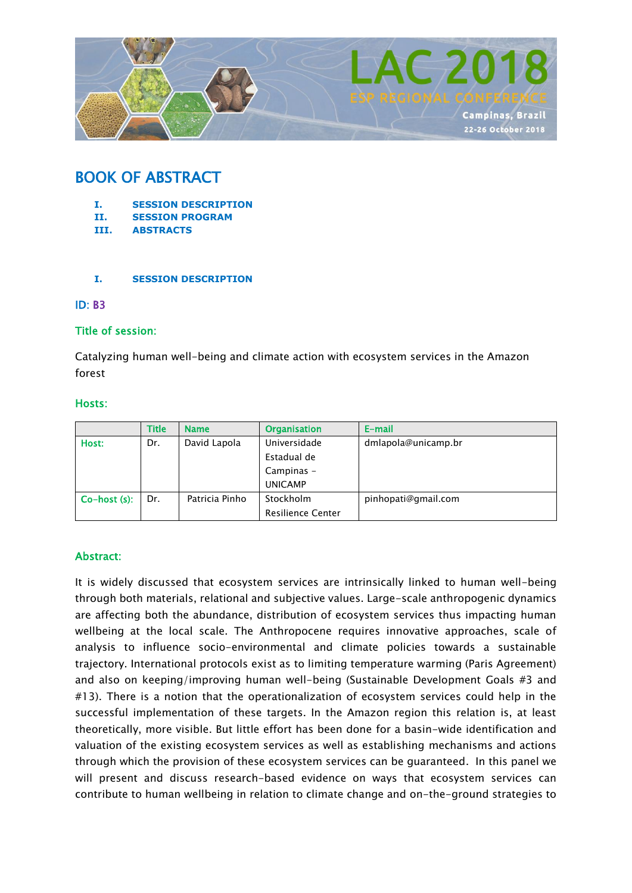

### BOOK OF ABSTRACT

- **I. SESSION DESCRIPTION**
- **II. SESSION PROGRAM**
- **III. ABSTRACTS**

#### **I. SESSION DESCRIPTION**

#### ID: B3

#### Title of session:

Catalyzing human well-being and climate action with ecosystem services in the Amazon forest

#### Hosts:

|               | Title | <b>Name</b>    | <b>Organisation</b>      | E-mail              |  |
|---------------|-------|----------------|--------------------------|---------------------|--|
| Host:         | Dr.   | David Lapola   | Universidade             | dmlapola@unicamp.br |  |
|               |       |                | Estadual de              |                     |  |
|               |       |                | Campinas -               |                     |  |
|               |       |                | <b>UNICAMP</b>           |                     |  |
| $Co-host(s):$ | Dr.   | Patricia Pinho | Stockholm                | pinhopati@gmail.com |  |
|               |       |                | <b>Resilience Center</b> |                     |  |

#### Abstract:

It is widely discussed that ecosystem services are intrinsically linked to human well-being through both materials, relational and subjective values. Large-scale anthropogenic dynamics are affecting both the abundance, distribution of ecosystem services thus impacting human wellbeing at the local scale. The Anthropocene requires innovative approaches, scale of analysis to influence socio-environmental and climate policies towards a sustainable trajectory. International protocols exist as to limiting temperature warming (Paris Agreement) and also on keeping/improving human well-being (Sustainable Development Goals #3 and #13). There is a notion that the operationalization of ecosystem services could help in the successful implementation of these targets. In the Amazon region this relation is, at least theoretically, more visible. But little effort has been done for a basin-wide identification and valuation of the existing ecosystem services as well as establishing mechanisms and actions through which the provision of these ecosystem services can be guaranteed. In this panel we will present and discuss research-based evidence on ways that ecosystem services can contribute to human wellbeing in relation to climate change and on-the-ground strategies to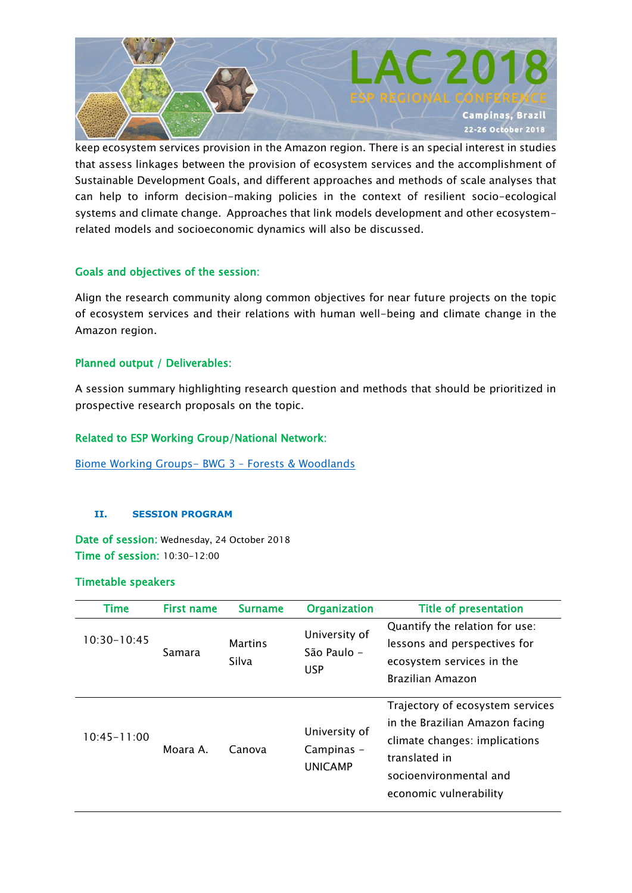

keep ecosystem services provision in the Amazon region. There is an special interest in studies that assess linkages between the provision of ecosystem services and the accomplishment of Sustainable Development Goals, and different approaches and methods of scale analyses that can help to inform decision-making policies in the context of resilient socio-ecological systems and climate change. Approaches that link models development and other ecosystemrelated models and socioeconomic dynamics will also be discussed.

#### Goals and objectives of the session:

Align the research community along common objectives for near future projects on the topic of ecosystem services and their relations with human well-being and climate change in the Amazon region.

### Planned output / Deliverables:

A session summary highlighting research question and methods that should be prioritized in prospective research proposals on the topic.

### Related to ESP Working Group/National Network:

[Biome Working Groups-](https://www.es-partnership.org/community/workings-groups/biome-working-groups/bwg-3-forests-woodlands/) BWG 3 – Forests & Woodlands

#### **II. SESSION PROGRAM**

Date of session: Wednesday, 24 October 2018 Time of session: 10:30-12:00

#### Timetable speakers

| <b>Time</b>     | <b>First name</b> | <b>Surname</b>          | <b>Organization</b>                           | <b>Title of presentation</b>                                                                                                                                             |
|-----------------|-------------------|-------------------------|-----------------------------------------------|--------------------------------------------------------------------------------------------------------------------------------------------------------------------------|
| $10:30 - 10:45$ | Samara            | <b>Martins</b><br>Silva | University of<br>São Paulo -<br><b>USP</b>    | Quantify the relation for use:<br>lessons and perspectives for<br>ecosystem services in the<br>Brazilian Amazon                                                          |
| $10:45 - 11:00$ | Moara A.          | Canova                  | University of<br>Campinas -<br><b>UNICAMP</b> | Trajectory of ecosystem services<br>in the Brazilian Amazon facing<br>climate changes: implications<br>translated in<br>socioenvironmental and<br>economic vulnerability |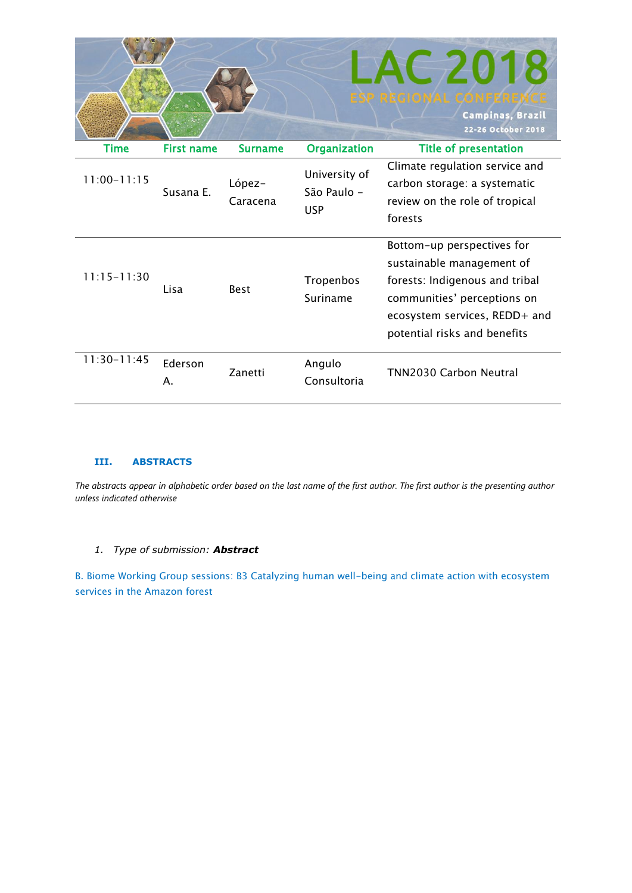

| 11:30-11:45    Ederson | Α. | Zanetti | Angulo<br>Consultoria | <b>TNN2030 Carbon Neutral</b> |
|------------------------|----|---------|-----------------------|-------------------------------|

#### **III. ABSTRACTS**

*The abstracts appear in alphabetic order based on the last name of the first author. The first author is the presenting author unless indicated otherwise*

#### *1. Type of submission: Abstract*

B. Biome Working Group sessions: B3 Catalyzing human well-being and climate action with ecosystem services in the Amazon forest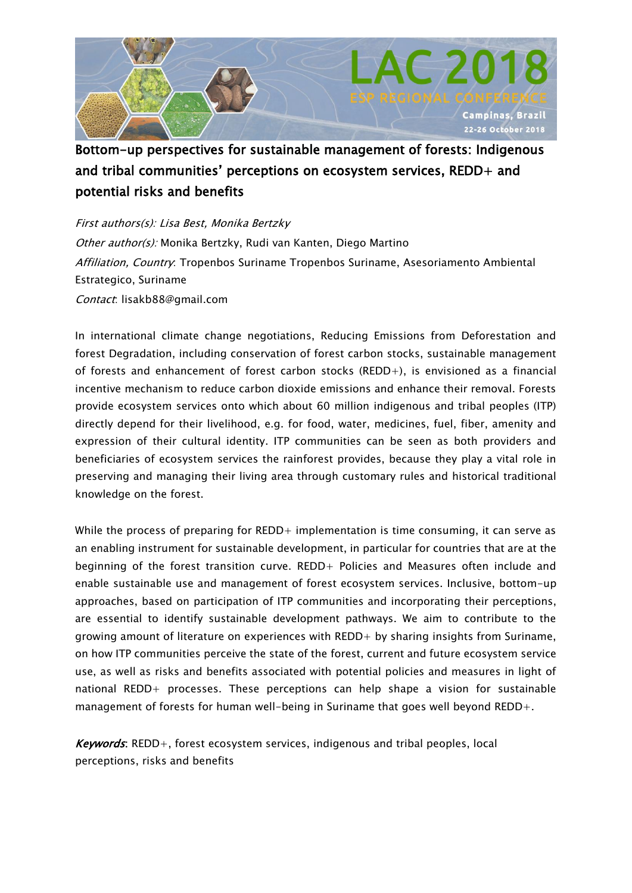

# Bottom-up perspectives for sustainable management of forests: Indigenous and tribal communities' perceptions on ecosystem services, REDD+ and potential risks and benefits

First authors(s): Lisa Best, Monika Bertzky Other author(s): Monika Bertzky, Rudi van Kanten, Diego Martino Affiliation, Country: Tropenbos Suriname Tropenbos Suriname, Asesoriamento Ambiental Estrategico, Suriname Contact: lisakb88@gmail.com

In international climate change negotiations, Reducing Emissions from Deforestation and forest Degradation, including conservation of forest carbon stocks, sustainable management of forests and enhancement of forest carbon stocks (REDD+), is envisioned as a financial incentive mechanism to reduce carbon dioxide emissions and enhance their removal. Forests provide ecosystem services onto which about 60 million indigenous and tribal peoples (ITP) directly depend for their livelihood, e.g. for food, water, medicines, fuel, fiber, amenity and expression of their cultural identity. ITP communities can be seen as both providers and beneficiaries of ecosystem services the rainforest provides, because they play a vital role in preserving and managing their living area through customary rules and historical traditional knowledge on the forest.

While the process of preparing for REDD+ implementation is time consuming, it can serve as an enabling instrument for sustainable development, in particular for countries that are at the beginning of the forest transition curve. REDD+ Policies and Measures often include and enable sustainable use and management of forest ecosystem services. Inclusive, bottom-up approaches, based on participation of ITP communities and incorporating their perceptions, are essential to identify sustainable development pathways. We aim to contribute to the growing amount of literature on experiences with REDD+ by sharing insights from Suriname, on how ITP communities perceive the state of the forest, current and future ecosystem service use, as well as risks and benefits associated with potential policies and measures in light of national REDD+ processes. These perceptions can help shape a vision for sustainable management of forests for human well-being in Suriname that goes well beyond REDD+.

Keywords: REDD+, forest ecosystem services, indigenous and tribal peoples, local perceptions, risks and benefits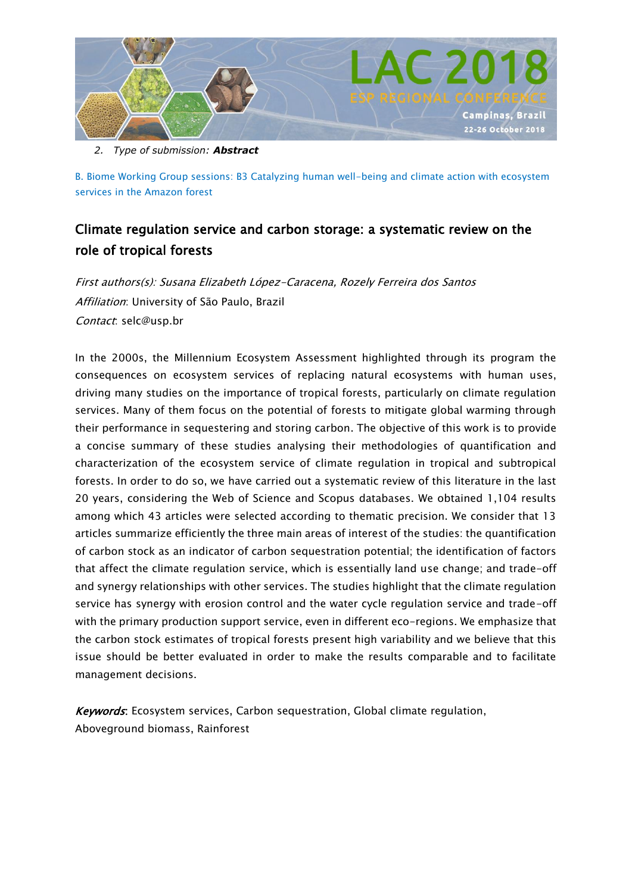

*2. Type of submission: Abstract*

B. Biome Working Group sessions: B3 Catalyzing human well-being and climate action with ecosystem services in the Amazon forest

### Climate regulation service and carbon storage: a systematic review on the role of tropical forests

First authors(s): Susana Elizabeth López-Caracena, Rozely Ferreira dos Santos Affiliation: University of São Paulo, Brazil Contact: selc@usp.br

In the 2000s, the Millennium Ecosystem Assessment highlighted through its program the consequences on ecosystem services of replacing natural ecosystems with human uses, driving many studies on the importance of tropical forests, particularly on climate regulation services. Many of them focus on the potential of forests to mitigate global warming through their performance in sequestering and storing carbon. The objective of this work is to provide a concise summary of these studies analysing their methodologies of quantification and characterization of the ecosystem service of climate regulation in tropical and subtropical forests. In order to do so, we have carried out a systematic review of this literature in the last 20 years, considering the Web of Science and Scopus databases. We obtained 1,104 results among which 43 articles were selected according to thematic precision. We consider that 13 articles summarize efficiently the three main areas of interest of the studies: the quantification of carbon stock as an indicator of carbon sequestration potential; the identification of factors that affect the climate regulation service, which is essentially land use change; and trade-off and synergy relationships with other services. The studies highlight that the climate regulation service has synergy with erosion control and the water cycle regulation service and trade-off with the primary production support service, even in different eco-regions. We emphasize that the carbon stock estimates of tropical forests present high variability and we believe that this issue should be better evaluated in order to make the results comparable and to facilitate management decisions.

Keywords: Ecosystem services, Carbon sequestration, Global climate regulation, Aboveground biomass, Rainforest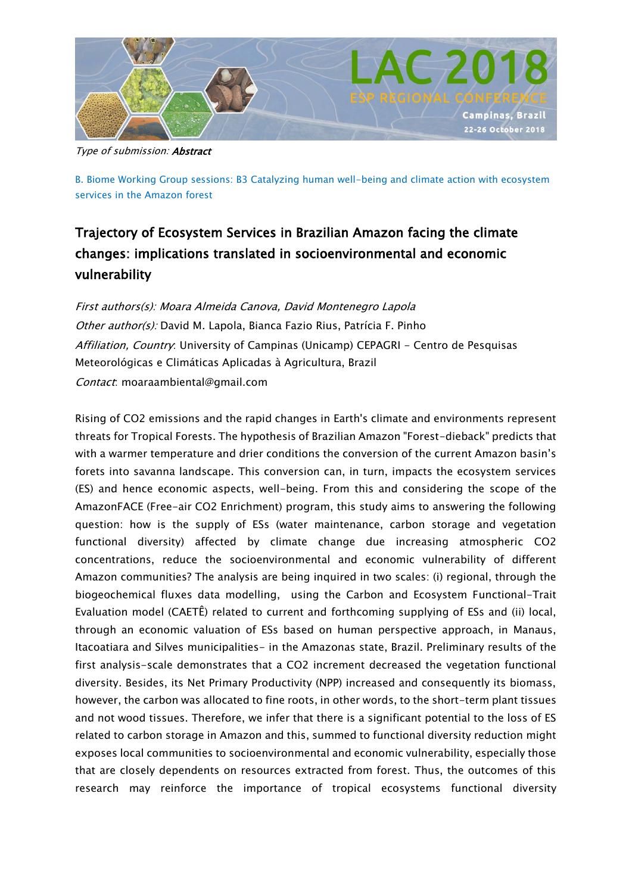

Type of submission: **Abstract** 

B. Biome Working Group sessions: B3 Catalyzing human well-being and climate action with ecosystem services in the Amazon forest

# Trajectory of Ecosystem Services in Brazilian Amazon facing the climate changes: implications translated in socioenvironmental and economic vulnerability

First authors(s): Moara Almeida Canova, David Montenegro Lapola Other author(s): David M. Lapola, Bianca Fazio Rius, Patrícia F. Pinho Affiliation, Country: University of Campinas (Unicamp) CEPAGRI - Centro de Pesquisas Meteorológicas e Climáticas Aplicadas à Agricultura, Brazil Contact: moaraambiental@gmail.com

Rising of CO2 emissions and the rapid changes in Earth's climate and environments represent threats for Tropical Forests. The hypothesis of Brazilian Amazon "Forest-dieback" predicts that with a warmer temperature and drier conditions the conversion of the current Amazon basin's forets into savanna landscape. This conversion can, in turn, impacts the ecosystem services (ES) and hence economic aspects, well-being. From this and considering the scope of the AmazonFACE (Free-air CO2 Enrichment) program, this study aims to answering the following question: how is the supply of ESs (water maintenance, carbon storage and vegetation functional diversity) affected by climate change due increasing atmospheric CO2 concentrations, reduce the socioenvironmental and economic vulnerability of different Amazon communities? The analysis are being inquired in two scales: (i) regional, through the biogeochemical fluxes data modelling, using the Carbon and Ecosystem Functional-Trait Evaluation model (CAETÊ) related to current and forthcoming supplying of ESs and (ii) local, through an economic valuation of ESs based on human perspective approach, in Manaus, Itacoatiara and Silves municipalities- in the Amazonas state, Brazil. Preliminary results of the first analysis-scale demonstrates that a CO2 increment decreased the vegetation functional diversity. Besides, its Net Primary Productivity (NPP) increased and consequently its biomass, however, the carbon was allocated to fine roots, in other words, to the short-term plant tissues and not wood tissues. Therefore, we infer that there is a significant potential to the loss of ES related to carbon storage in Amazon and this, summed to functional diversity reduction might exposes local communities to socioenvironmental and economic vulnerability, especially those that are closely dependents on resources extracted from forest. Thus, the outcomes of this research may reinforce the importance of tropical ecosystems functional diversity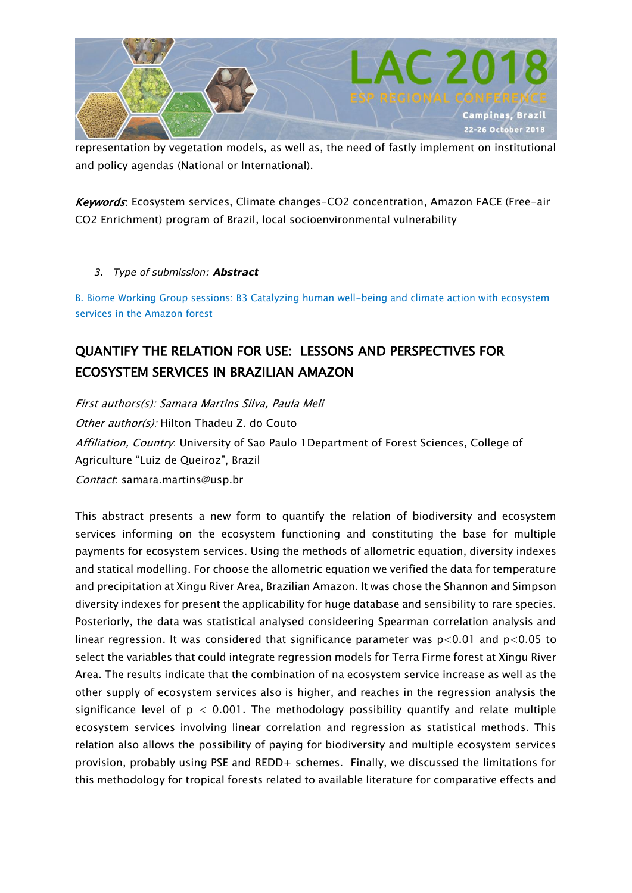

representation by vegetation models, as well as, the need of fastly implement on institutional and policy agendas (National or International).

Keywords: Ecosystem services, Climate changes-CO2 concentration, Amazon FACE (Free-air CO2 Enrichment) program of Brazil, local socioenvironmental vulnerability

*3. Type of submission: Abstract*

B. Biome Working Group sessions: B3 Catalyzing human well-being and climate action with ecosystem services in the Amazon forest

## QUANTIFY THE RELATION FOR USE: LESSONS AND PERSPECTIVES FOR ECOSYSTEM SERVICES IN BRAZILIAN AMAZON

First authors(s): Samara Martins Silva, Paula Meli Other author(s): Hilton Thadeu Z. do Couto Affiliation, Country: University of Sao Paulo 1Department of Forest Sciences, College of Agriculture "Luiz de Queiroz", Brazil Contact: samara.martins@usp.br

This abstract presents a new form to quantify the relation of biodiversity and ecosystem services informing on the ecosystem functioning and constituting the base for multiple payments for ecosystem services. Using the methods of allometric equation, diversity indexes and statical modelling. For choose the allometric equation we verified the data for temperature and precipitation at Xingu River Area, Brazilian Amazon. It was chose the Shannon and Simpson diversity indexes for present the applicability for huge database and sensibility to rare species. Posteriorly, the data was statistical analysed consideering Spearman correlation analysis and linear regression. It was considered that significance parameter was  $p < 0.01$  and  $p < 0.05$  to select the variables that could integrate regression models for Terra Firme forest at Xingu River Area. The results indicate that the combination of na ecosystem service increase as well as the other supply of ecosystem services also is higher, and reaches in the regression analysis the significance level of  $p < 0.001$ . The methodology possibility quantify and relate multiple ecosystem services involving linear correlation and regression as statistical methods. This relation also allows the possibility of paying for biodiversity and multiple ecosystem services provision, probably using PSE and REDD+ schemes. Finally, we discussed the limitations for this methodology for tropical forests related to available literature for comparative effects and